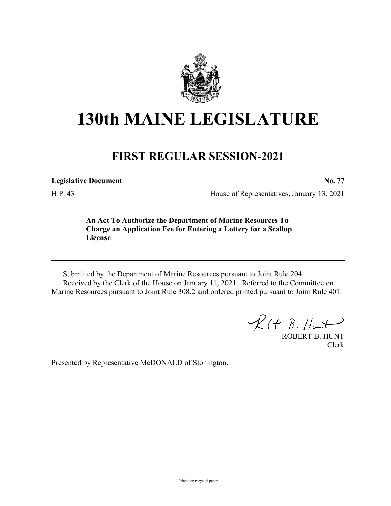

## **130th MAINE LEGISLATURE**

## **FIRST REGULAR SESSION-2021**

**Legislative Document No. 77**

H.P. 43 House of Representatives, January 13, 2021

**An Act To Authorize the Department of Marine Resources To Charge an Application Fee for Entering a Lottery for a Scallop License**

Submitted by the Department of Marine Resources pursuant to Joint Rule 204. Received by the Clerk of the House on January 11, 2021. Referred to the Committee on Marine Resources pursuant to Joint Rule 308.2 and ordered printed pursuant to Joint Rule 401.

 $R(H B. H<sub>un</sub>+)$ 

ROBERT B. HUNT Clerk

Presented by Representative McDONALD of Stonington.